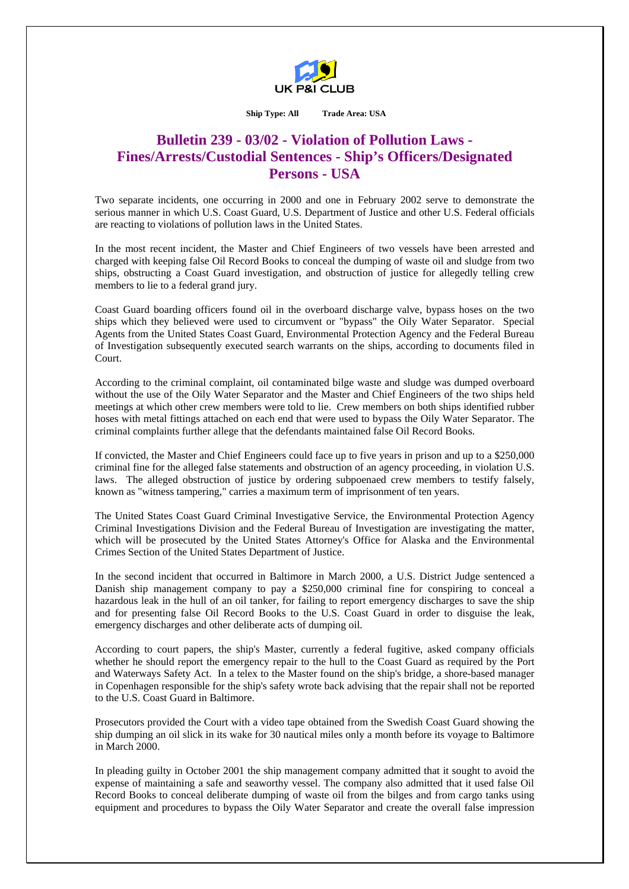

**Ship Type: All Trade Area: USA** 

## **Bulletin 239 - 03/02 - Violation of Pollution Laws - Fines/Arrests/Custodial Sentences - Ship's Officers/Designated Persons - USA**

Two separate incidents, one occurring in 2000 and one in February 2002 serve to demonstrate the serious manner in which U.S. Coast Guard, U.S. Department of Justice and other U.S. Federal officials are reacting to violations of pollution laws in the United States.

In the most recent incident, the Master and Chief Engineers of two vessels have been arrested and charged with keeping false Oil Record Books to conceal the dumping of waste oil and sludge from two ships, obstructing a Coast Guard investigation, and obstruction of justice for allegedly telling crew members to lie to a federal grand jury.

Coast Guard boarding officers found oil in the overboard discharge valve, bypass hoses on the two ships which they believed were used to circumvent or "bypass" the Oily Water Separator. Special Agents from the United States Coast Guard, Environmental Protection Agency and the Federal Bureau of Investigation subsequently executed search warrants on the ships, according to documents filed in Court.

According to the criminal complaint, oil contaminated bilge waste and sludge was dumped overboard without the use of the Oily Water Separator and the Master and Chief Engineers of the two ships held meetings at which other crew members were told to lie. Crew members on both ships identified rubber hoses with metal fittings attached on each end that were used to bypass the Oily Water Separator. The criminal complaints further allege that the defendants maintained false Oil Record Books.

If convicted, the Master and Chief Engineers could face up to five years in prison and up to a \$250,000 criminal fine for the alleged false statements and obstruction of an agency proceeding, in violation U.S. laws. The alleged obstruction of justice by ordering subpoenaed crew members to testify falsely, known as "witness tampering," carries a maximum term of imprisonment of ten years.

The United States Coast Guard Criminal Investigative Service, the Environmental Protection Agency Criminal Investigations Division and the Federal Bureau of Investigation are investigating the matter, which will be prosecuted by the United States Attorney's Office for Alaska and the Environmental Crimes Section of the United States Department of Justice.

In the second incident that occurred in Baltimore in March 2000, a U.S. District Judge sentenced a Danish ship management company to pay a \$250,000 criminal fine for conspiring to conceal a hazardous leak in the hull of an oil tanker, for failing to report emergency discharges to save the ship and for presenting false Oil Record Books to the U.S. Coast Guard in order to disguise the leak, emergency discharges and other deliberate acts of dumping oil.

According to court papers, the ship's Master, currently a federal fugitive, asked company officials whether he should report the emergency repair to the hull to the Coast Guard as required by the Port and Waterways Safety Act. In a telex to the Master found on the ship's bridge, a shore-based manager in Copenhagen responsible for the ship's safety wrote back advising that the repair shall not be reported to the U.S. Coast Guard in Baltimore.

Prosecutors provided the Court with a video tape obtained from the Swedish Coast Guard showing the ship dumping an oil slick in its wake for 30 nautical miles only a month before its voyage to Baltimore in March 2000.

In pleading guilty in October 2001 the ship management company admitted that it sought to avoid the expense of maintaining a safe and seaworthy vessel. The company also admitted that it used false Oil Record Books to conceal deliberate dumping of waste oil from the bilges and from cargo tanks using equipment and procedures to bypass the Oily Water Separator and create the overall false impression